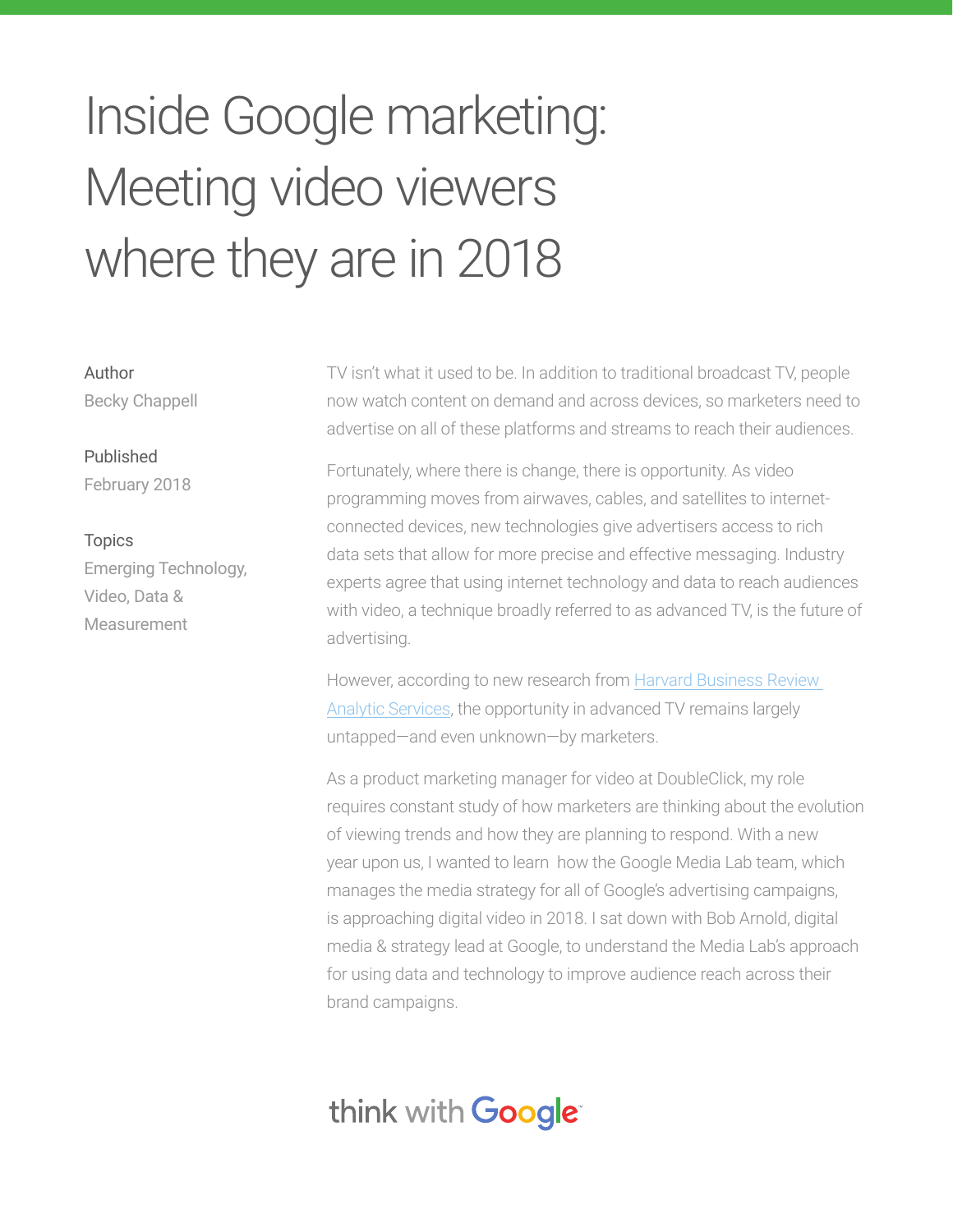# Inside Google marketing: Meeting video viewers where they are in 2018

Author Becky Chappell

#### Published February 2018

Topics Emerging Technology, Video, Data & Measurement

TV isn't what it used to be. In addition to traditional broadcast TV, people now watch content on demand and across devices, so marketers need to advertise on all of these platforms and streams to reach their audiences.

Fortunately, where there is change, there is opportunity. As video programming moves from airwaves, cables, and satellites to internetconnected devices, new technologies give advertisers access to rich data sets that allow for more precise and effective messaging. Industry experts agree that using internet technology and data to reach audiences with video, a technique broadly referred to as advanced TV, is the future of advertising.

However, according to new research from Harvard Business Review Analytic Services, the opportunity in advanced TV remains largely untapped—and even unknown—by marketers.

As a product marketing manager for video at DoubleClick, my role requires constant study of how marketers are thinking about the evolution of viewing trends and how they are planning to respond. With a new year upon us, I wanted to learn how the Google Media Lab team, which manages the media strategy for all of Google's advertising campaigns, is approaching digital video in 2018. I sat down with Bob Arnold, digital media & strategy lead at Google, to understand the Media Lab's approach for using data and technology to improve audience reach across their brand campaigns.

# think with Google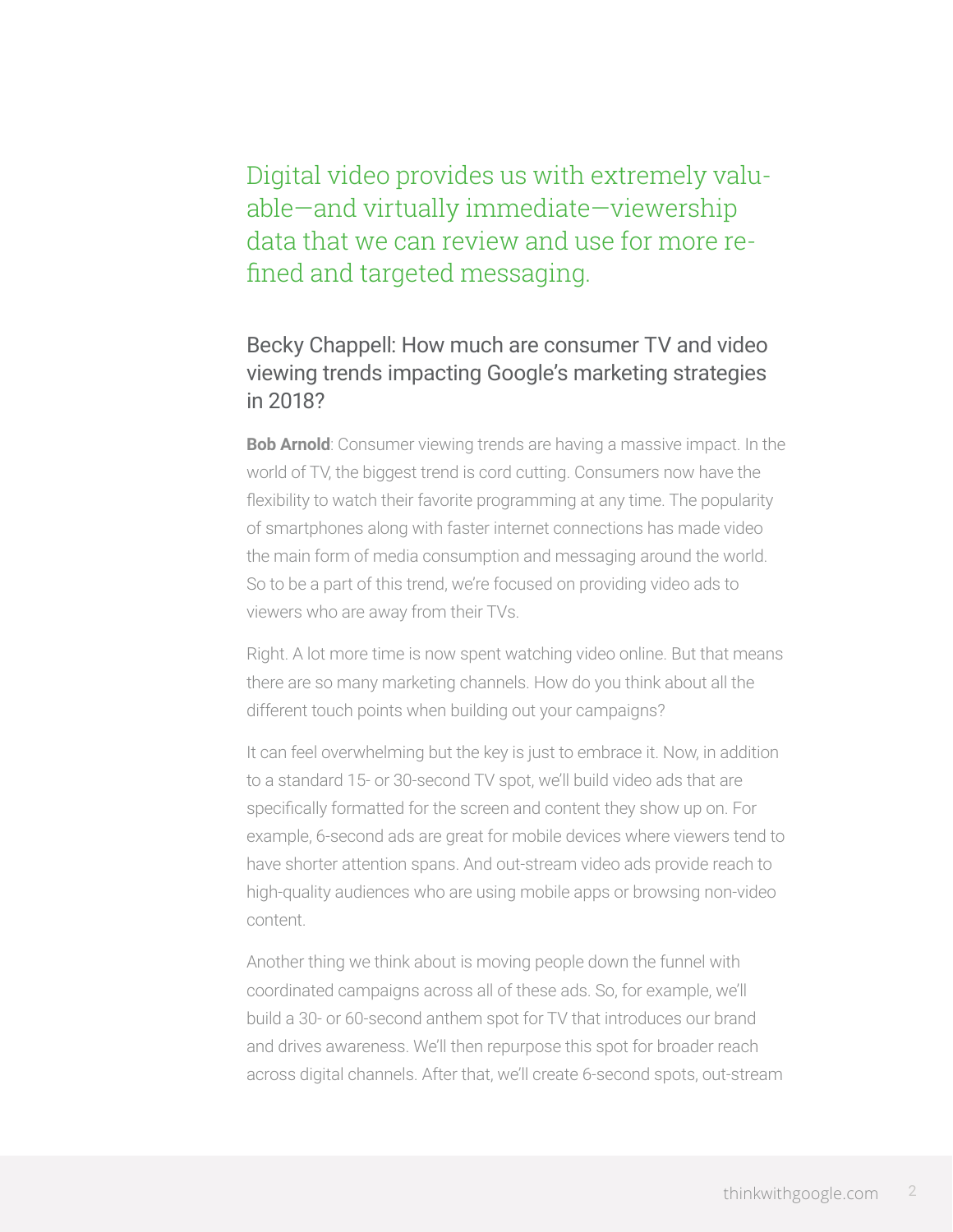# Digital video provides us with extremely valuable—and virtually immediate—viewership data that we can review and use for more refined and targeted messaging.

### Becky Chappell: How much are consumer TV and video viewing trends impacting Google's marketing strategies in 2018?

**Bob Arnold**: Consumer viewing trends are having a massive impact. In the world of TV, the biggest trend is cord cutting. Consumers now have the flexibility to watch their favorite programming at any time. The popularity of smartphones along with faster internet connections has made video the main form of media consumption and messaging around the world. So to be a part of this trend, we're focused on providing video ads to viewers who are away from their TVs.

Right. A lot more time is now spent watching video online. But that means there are so many marketing channels. How do you think about all the different touch points when building out your campaigns?

It can feel overwhelming but the key is just to embrace it. Now, in addition to a standard 15- or 30-second TV spot, we'll build video ads that are specifically formatted for the screen and content they show up on. For example, 6-second ads are great for mobile devices where viewers tend to have shorter attention spans. And out-stream video ads provide reach to high-quality audiences who are using mobile apps or browsing non-video content.

Another thing we think about is moving people down the funnel with coordinated campaigns across all of these ads. So, for example, we'll build a 30- or 60-second anthem spot for TV that introduces our brand and drives awareness. We'll then repurpose this spot for broader reach across digital channels. After that, we'll create 6-second spots, out-stream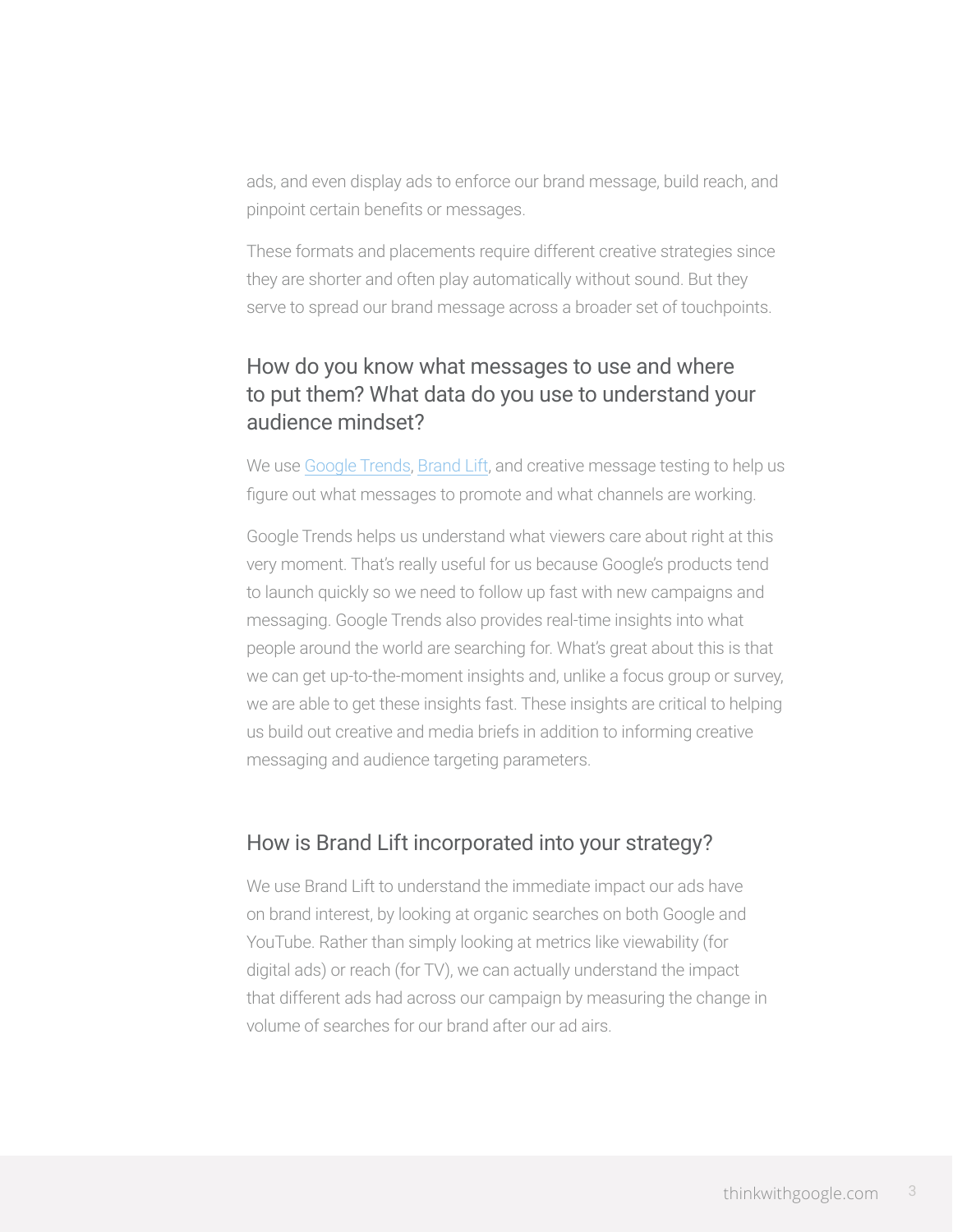ads, and even display ads to enforce our brand message, build reach, and pinpoint certain benefits or messages.

These formats and placements require different creative strategies since they are shorter and often play automatically without sound. But they serve to spread our brand message across a broader set of touchpoints.

### How do you know what messages to use and where to put them? What data do you use to understand your audience mindset?

We use Google Trends, Brand Lift, and creative message testing to help us figure out what messages to promote and what channels are working.

Google Trends helps us understand what viewers care about right at this very moment. That's really useful for us because Google's products tend to launch quickly so we need to follow up fast with new campaigns and messaging. Google Trends also provides real-time insights into what people around the world are searching for. What's great about this is that we can get up-to-the-moment insights and, unlike a focus group or survey, we are able to get these insights fast. These insights are critical to helping us build out creative and media briefs in addition to informing creative messaging and audience targeting parameters.

#### How is Brand Lift incorporated into your strategy?

We use Brand Lift to understand the immediate impact our ads have on brand interest, by looking at organic searches on both Google and YouTube. Rather than simply looking at metrics like viewability (for digital ads) or reach (for TV), we can actually understand the impact that different ads had across our campaign by measuring the change in volume of searches for our brand after our ad airs.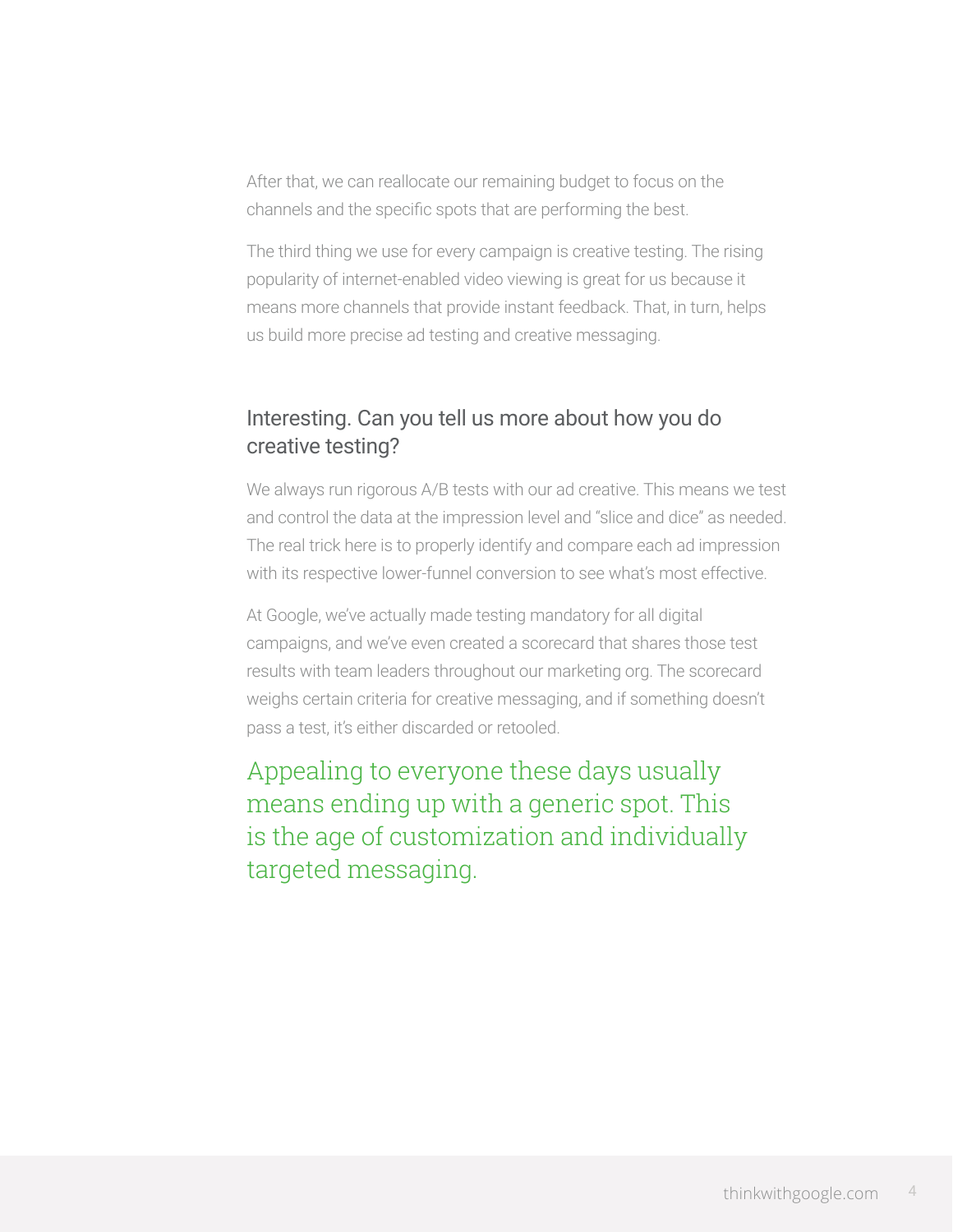After that, we can reallocate our remaining budget to focus on the channels and the specific spots that are performing the best.

The third thing we use for every campaign is creative testing. The rising popularity of internet-enabled video viewing is great for us because it means more channels that provide instant feedback. That, in turn, helps us build more precise ad testing and creative messaging.

### Interesting. Can you tell us more about how you do creative testing?

We always run rigorous A/B tests with our ad creative. This means we test and control the data at the impression level and "slice and dice" as needed. The real trick here is to properly identify and compare each ad impression with its respective lower-funnel conversion to see what's most effective.

At Google, we've actually made testing mandatory for all digital campaigns, and we've even created a scorecard that shares those test results with team leaders throughout our marketing org. The scorecard weighs certain criteria for creative messaging, and if something doesn't pass a test, it's either discarded or retooled.

Appealing to everyone these days usually means ending up with a generic spot. This is the age of customization and individually targeted messaging.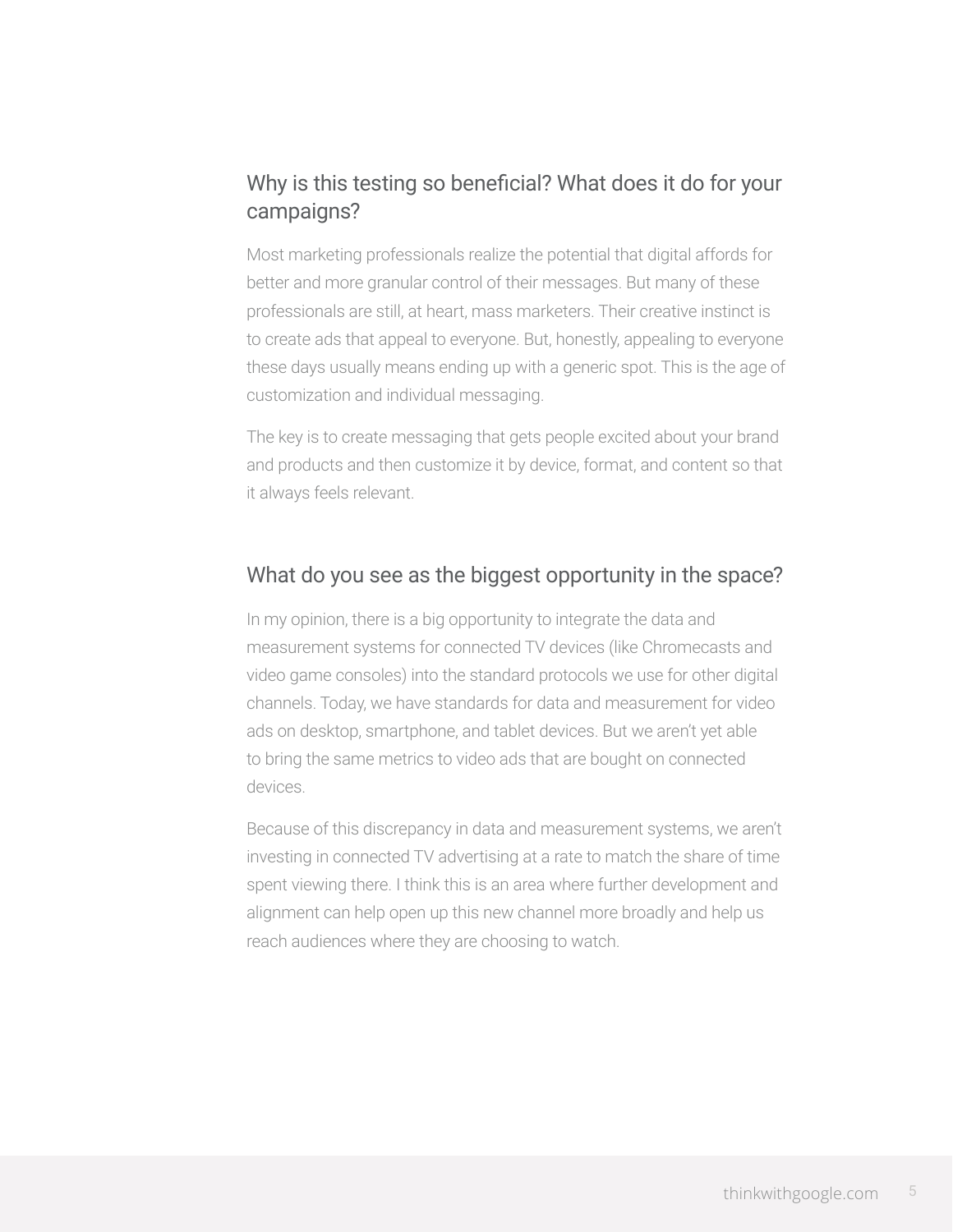## Why is this testing so beneficial? What does it do for your campaigns?

Most marketing professionals realize the potential that digital affords for better and more granular control of their messages. But many of these professionals are still, at heart, mass marketers. Their creative instinct is to create ads that appeal to everyone. But, honestly, appealing to everyone these days usually means ending up with a generic spot. This is the age of customization and individual messaging.

The key is to create messaging that gets people excited about your brand and products and then customize it by device, format, and content so that it always feels relevant.

#### What do you see as the biggest opportunity in the space?

In my opinion, there is a big opportunity to integrate the data and measurement systems for connected TV devices (like Chromecasts and video game consoles) into the standard protocols we use for other digital channels. Today, we have standards for data and measurement for video ads on desktop, smartphone, and tablet devices. But we aren't yet able to bring the same metrics to video ads that are bought on connected devices.

Because of this discrepancy in data and measurement systems, we aren't investing in connected TV advertising at a rate to match the share of time spent viewing there. I think this is an area where further development and alignment can help open up this new channel more broadly and help us reach audiences where they are choosing to watch.